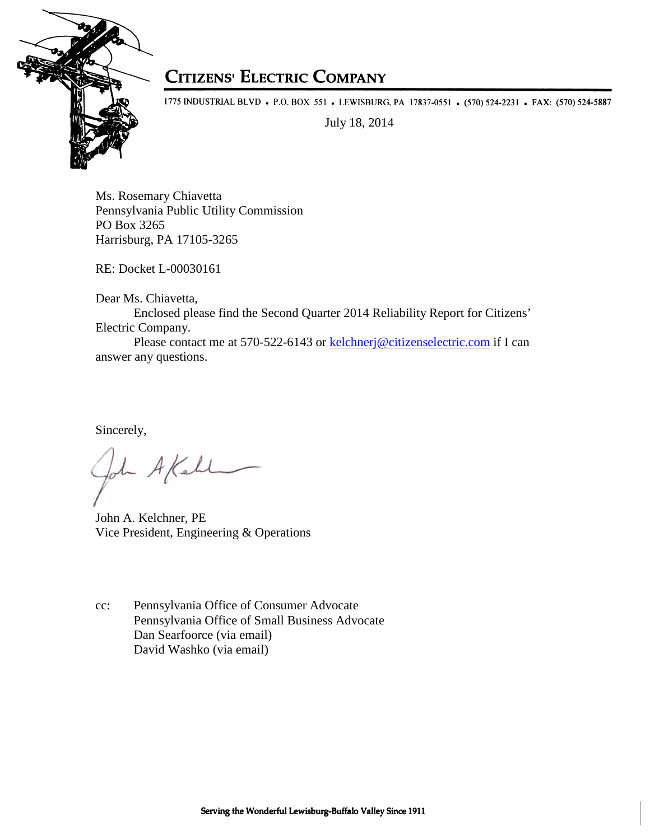

## **CITIZENS' ELECTRIC COMPANY**

1775 INDUSTRIAL BLVD • P.O. BOX 551 • LEWISBURG, PA 17837-0551 • (570) 524-2231 • FAX: (570) 524-5887

July 18, 2014

Ms. Rosemary Chiavetta Pennsylvania Public Utility Commission PO Box 3265 Harrisburg, PA 17105-3265

RE: Docket L-00030161

Dear Ms. Chiavetta,

Enclosed please find the Second Quarter 2014 Reliability Report for Citizens' Electric Company.

 Please contact me at 570-522-6143 or kelchnerj@citizenselectric.com if I can answer any questions.

Sincerely,

- A Kell

John A. Kelchner, PE Vice President, Engineering & Operations

cc: Pennsylvania Office of Consumer Advocate Pennsylvania Office of Small Business Advocate Dan Searfoorce (via email) David Washko (via email)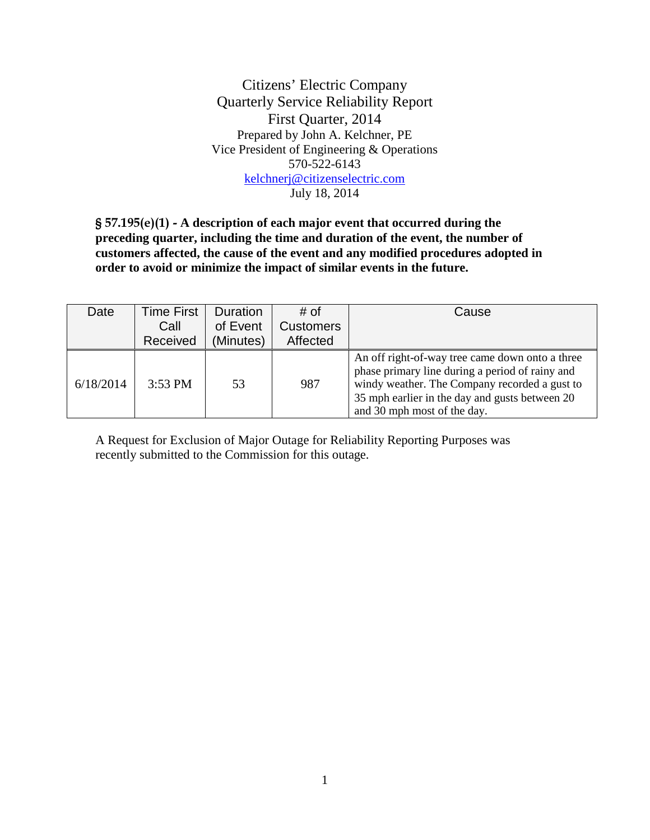Citizens' Electric Company Quarterly Service Reliability Report First Quarter, 2014 Prepared by John A. Kelchner, PE Vice President of Engineering & Operations 570-522-6143 kelchnerj@citizenselectric.com July 18, 2014

§ 57.195(e)(1) - **A description of each major event that occurred during the preceding quarter, including the time and duration of the event, the number of customers affected, the cause of the event and any modified procedures adopted in order to avoid or minimize the impact of similar events in the future.** 

| Date      | <b>Time First</b> | <b>Duration</b> | # of             | Cause                                                                                                                                                                                                                                |
|-----------|-------------------|-----------------|------------------|--------------------------------------------------------------------------------------------------------------------------------------------------------------------------------------------------------------------------------------|
|           | Call              | of Event        | <b>Customers</b> |                                                                                                                                                                                                                                      |
|           | Received          | (Minutes)       | Affected         |                                                                                                                                                                                                                                      |
| 6/18/2014 | $3:53$ PM         | 53              | 987              | An off right-of-way tree came down onto a three<br>phase primary line during a period of rainy and<br>windy weather. The Company recorded a gust to<br>35 mph earlier in the day and gusts between 20<br>and 30 mph most of the day. |

A Request for Exclusion of Major Outage for Reliability Reporting Purposes was recently submitted to the Commission for this outage.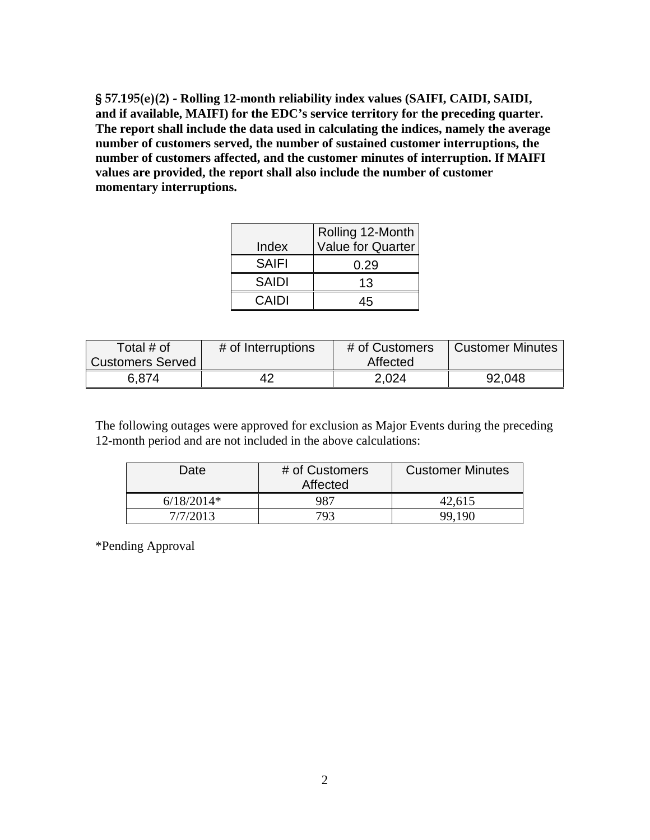§ 57.195(e)(2) - **Rolling 12-month reliability index values (SAIFI, CAIDI, SAIDI, and if available, MAIFI) for the EDC's service territory for the preceding quarter. The report shall include the data used in calculating the indices, namely the average number of customers served, the number of sustained customer interruptions, the number of customers affected, and the customer minutes of interruption. If MAIFI values are provided, the report shall also include the number of customer momentary interruptions.** 

|              | Rolling 12-Month         |
|--------------|--------------------------|
| Index        | <b>Value for Quarter</b> |
| <b>SAIFI</b> | 0.29                     |
| <b>SAIDI</b> | 13                       |
| CAIDI        |                          |

| Total # of       | # of Interruptions | # of Customers | <b>Customer Minutes</b> |
|------------------|--------------------|----------------|-------------------------|
| Customers Served |                    | Affected       |                         |
| 6.874            | 42                 | 2,024          | 92,048                  |

The following outages were approved for exclusion as Major Events during the preceding 12-month period and are not included in the above calculations:

| Date         | # of Customers<br>Affected | <b>Customer Minutes</b> |
|--------------|----------------------------|-------------------------|
| $6/18/2014*$ | 987                        | 42,615                  |
| 7/7/2013     | 793                        | 99,190                  |

\*Pending Approval